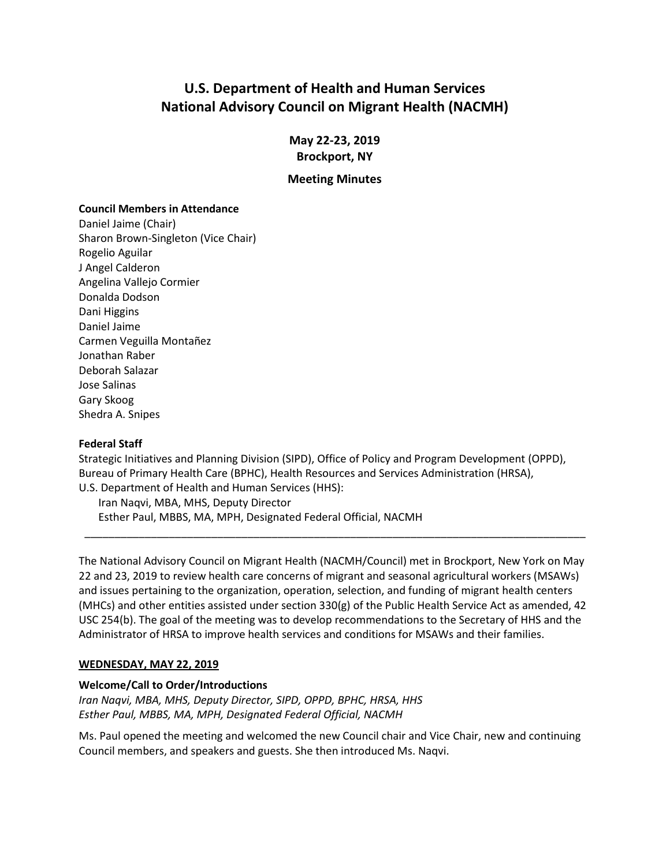# **U.S. Department of Health and Human Services National Advisory Council on Migrant Health (NACMH)**

**May 22-23, 2019 Brockport, NY**

#### **Meeting Minutes**

#### **Council Members in Attendance**

Daniel Jaime (Chair) Sharon Brown-Singleton (Vice Chair) Rogelio Aguilar J Angel Calderon Angelina Vallejo Cormier Donalda Dodson Dani Higgins Daniel Jaime Carmen Veguilla Montañez Jonathan Raber Deborah Salazar Jose Salinas Gary Skoog Shedra A. Snipes

#### **Federal Staff**

Strategic Initiatives and Planning Division (SIPD), Office of Policy and Program Development (OPPD), Bureau of Primary Health Care (BPHC), Health Resources and Services Administration (HRSA), U.S. Department of Health and Human Services (HHS):

Iran Naqvi, MBA, MHS, Deputy Director Esther Paul, MBBS, MA, MPH, Designated Federal Official, NACMH

The National Advisory Council on Migrant Health (NACMH/Council) met in Brockport, New York on May 22 and 23, 2019 to review health care concerns of migrant and seasonal agricultural workers (MSAWs) and issues pertaining to the organization, operation, selection, and funding of migrant health centers (MHCs) and other entities assisted under section 330(g) of the Public Health Service Act as amended, 42 USC 254(b). The goal of the meeting was to develop recommendations to the Secretary of HHS and the Administrator of HRSA to improve health services and conditions for MSAWs and their families.

\_\_\_\_\_\_\_\_\_\_\_\_\_\_\_\_\_\_\_\_\_\_\_\_\_\_\_\_\_\_\_\_\_\_\_\_\_\_\_\_\_\_\_\_\_\_\_\_\_\_\_\_\_\_\_\_\_\_\_\_\_\_\_\_\_\_\_\_\_\_\_\_\_\_\_\_\_\_\_\_\_\_\_

#### **WEDNESDAY, MAY 22, 2019**

#### **Welcome/Call to Order/Introductions**

*Iran Naqvi, MBA, MHS, Deputy Director, SIPD, OPPD, BPHC, HRSA, HHS Esther Paul, MBBS, MA, MPH, Designated Federal Official, NACMH*

Ms. Paul opened the meeting and welcomed the new Council chair and Vice Chair, new and continuing Council members, and speakers and guests. She then introduced Ms. Naqvi.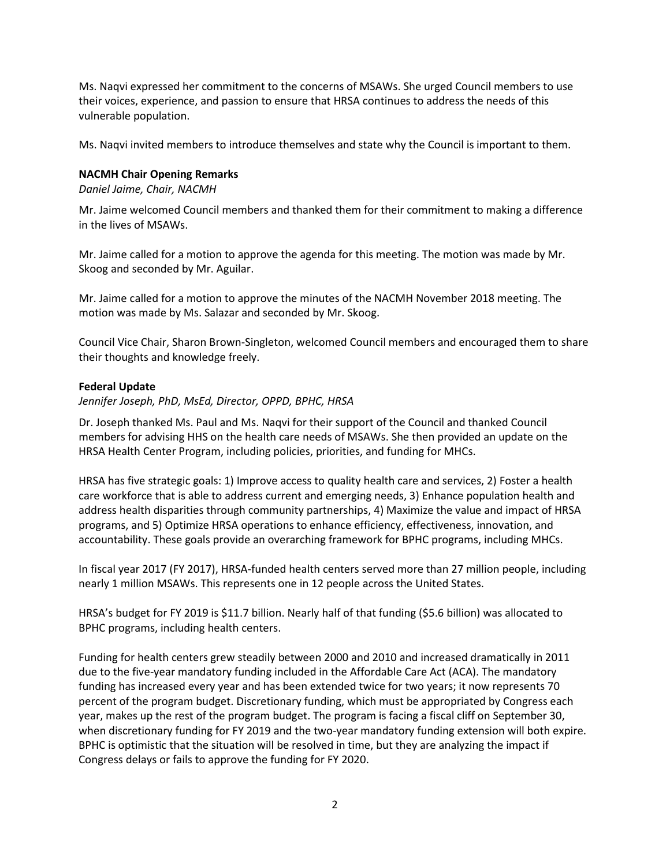Ms. Naqvi expressed her commitment to the concerns of MSAWs. She urged Council members to use their voices, experience, and passion to ensure that HRSA continues to address the needs of this vulnerable population.

Ms. Naqvi invited members to introduce themselves and state why the Council is important to them.

#### **NACMH Chair Opening Remarks**

*Daniel Jaime, Chair, NACMH*

Mr. Jaime welcomed Council members and thanked them for their commitment to making a difference in the lives of MSAWs.

Mr. Jaime called for a motion to approve the agenda for this meeting. The motion was made by Mr. Skoog and seconded by Mr. Aguilar.

Mr. Jaime called for a motion to approve the minutes of the NACMH November 2018 meeting. The motion was made by Ms. Salazar and seconded by Mr. Skoog.

Council Vice Chair, Sharon Brown-Singleton, welcomed Council members and encouraged them to share their thoughts and knowledge freely.

#### **Federal Update**

*Jennifer Joseph, PhD, MsEd, Director, OPPD, BPHC, HRSA*

Dr. Joseph thanked Ms. Paul and Ms. Naqvi for their support of the Council and thanked Council members for advising HHS on the health care needs of MSAWs. She then provided an update on the HRSA Health Center Program, including policies, priorities, and funding for MHCs.

HRSA has five strategic goals: 1) Improve access to quality health care and services, 2) Foster a health care workforce that is able to address current and emerging needs, 3) Enhance population health and address health disparities through community partnerships, 4) Maximize the value and impact of HRSA programs, and 5) Optimize HRSA operations to enhance efficiency, effectiveness, innovation, and accountability. These goals provide an overarching framework for BPHC programs, including MHCs.

In fiscal year 2017 (FY 2017), HRSA-funded health centers served more than 27 million people, including nearly 1 million MSAWs. This represents one in 12 people across the United States.

HRSA's budget for FY 2019 is \$11.7 billion. Nearly half of that funding (\$5.6 billion) was allocated to BPHC programs, including health centers.

Funding for health centers grew steadily between 2000 and 2010 and increased dramatically in 2011 due to the five-year mandatory funding included in the Affordable Care Act (ACA). The mandatory funding has increased every year and has been extended twice for two years; it now represents 70 percent of the program budget. Discretionary funding, which must be appropriated by Congress each year, makes up the rest of the program budget. The program is facing a fiscal cliff on September 30, when discretionary funding for FY 2019 and the two-year mandatory funding extension will both expire. BPHC is optimistic that the situation will be resolved in time, but they are analyzing the impact if Congress delays or fails to approve the funding for FY 2020.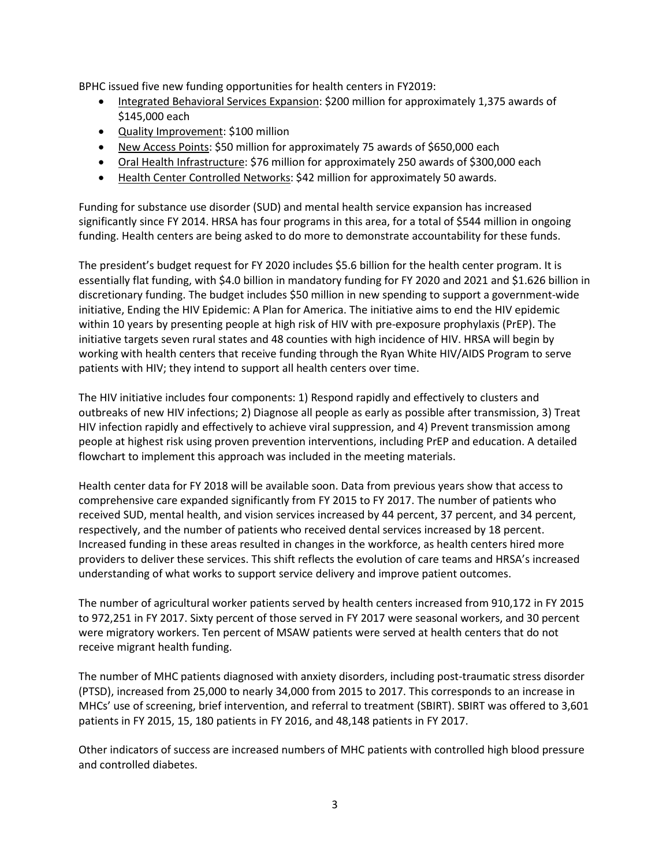BPHC issued five new funding opportunities for health centers in FY2019:

- Integrated Behavioral Services Expansion: \$200 million for approximately 1,375 awards of \$145,000 each
- Quality Improvement: \$100 million
- New Access Points: \$50 million for approximately 75 awards of \$650,000 each
- Oral Health Infrastructure: \$76 million for approximately 250 awards of \$300,000 each
- Health Center Controlled Networks: \$42 million for approximately 50 awards.

Funding for substance use disorder (SUD) and mental health service expansion has increased significantly since FY 2014. HRSA has four programs in this area, for a total of \$544 million in ongoing funding. Health centers are being asked to do more to demonstrate accountability for these funds.

The president's budget request for FY 2020 includes \$5.6 billion for the health center program. It is essentially flat funding, with \$4.0 billion in mandatory funding for FY 2020 and 2021 and \$1.626 billion in discretionary funding. The budget includes \$50 million in new spending to support a government-wide initiative, Ending the HIV Epidemic: A Plan for America. The initiative aims to end the HIV epidemic within 10 years by presenting people at high risk of HIV with pre-exposure prophylaxis (PrEP). The initiative targets seven rural states and 48 counties with high incidence of HIV. HRSA will begin by working with health centers that receive funding through the Ryan White HIV/AIDS Program to serve patients with HIV; they intend to support all health centers over time.

The HIV initiative includes four components: 1) Respond rapidly and effectively to clusters and outbreaks of new HIV infections; 2) Diagnose all people as early as possible after transmission, 3) Treat HIV infection rapidly and effectively to achieve viral suppression, and 4) Prevent transmission among people at highest risk using proven prevention interventions, including PrEP and education. A detailed flowchart to implement this approach was included in the meeting materials.

Health center data for FY 2018 will be available soon. Data from previous years show that access to comprehensive care expanded significantly from FY 2015 to FY 2017. The number of patients who received SUD, mental health, and vision services increased by 44 percent, 37 percent, and 34 percent, respectively, and the number of patients who received dental services increased by 18 percent. Increased funding in these areas resulted in changes in the workforce, as health centers hired more providers to deliver these services. This shift reflects the evolution of care teams and HRSA's increased understanding of what works to support service delivery and improve patient outcomes.

The number of agricultural worker patients served by health centers increased from 910,172 in FY 2015 to 972,251 in FY 2017. Sixty percent of those served in FY 2017 were seasonal workers, and 30 percent were migratory workers. Ten percent of MSAW patients were served at health centers that do not receive migrant health funding.

The number of MHC patients diagnosed with anxiety disorders, including post-traumatic stress disorder (PTSD), increased from 25,000 to nearly 34,000 from 2015 to 2017. This corresponds to an increase in MHCs' use of screening, brief intervention, and referral to treatment (SBIRT). SBIRT was offered to 3,601 patients in FY 2015, 15, 180 patients in FY 2016, and 48,148 patients in FY 2017.

Other indicators of success are increased numbers of MHC patients with controlled high blood pressure and controlled diabetes.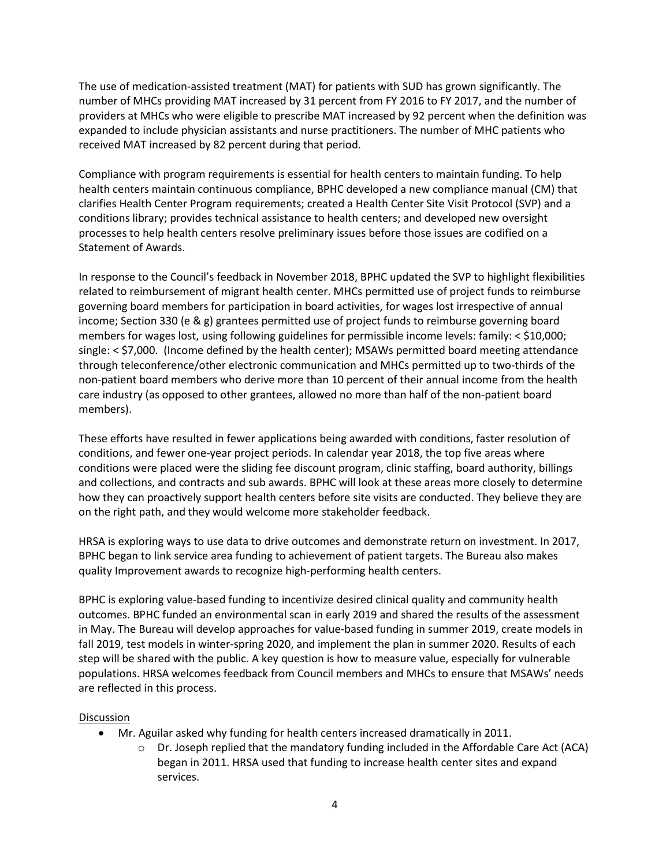The use of medication-assisted treatment (MAT) for patients with SUD has grown significantly. The number of MHCs providing MAT increased by 31 percent from FY 2016 to FY 2017, and the number of providers at MHCs who were eligible to prescribe MAT increased by 92 percent when the definition was expanded to include physician assistants and nurse practitioners. The number of MHC patients who received MAT increased by 82 percent during that period.

Compliance with program requirements is essential for health centers to maintain funding. To help health centers maintain continuous compliance, BPHC developed a new compliance manual (CM) that clarifies Health Center Program requirements; created a Health Center Site Visit Protocol (SVP) and a conditions library; provides technical assistance to health centers; and developed new oversight processes to help health centers resolve preliminary issues before those issues are codified on a Statement of Awards.

In response to the Council's feedback in November 2018, BPHC updated the SVP to highlight flexibilities related to reimbursement of migrant health center. MHCs permitted use of project funds to reimburse governing board members for participation in board activities, for wages lost irrespective of annual income; Section 330 (e & g) grantees permitted use of project funds to reimburse governing board members for wages lost, using following guidelines for permissible income levels: family: < \$10,000; single: < \$7,000. (Income defined by the health center); MSAWs permitted board meeting attendance through teleconference/other electronic communication and MHCs permitted up to two-thirds of the non-patient board members who derive more than 10 percent of their annual income from the health care industry (as opposed to other grantees, allowed no more than half of the non-patient board members).

These efforts have resulted in fewer applications being awarded with conditions, faster resolution of conditions, and fewer one-year project periods. In calendar year 2018, the top five areas where conditions were placed were the sliding fee discount program, clinic staffing, board authority, billings and collections, and contracts and sub awards. BPHC will look at these areas more closely to determine how they can proactively support health centers before site visits are conducted. They believe they are on the right path, and they would welcome more stakeholder feedback.

HRSA is exploring ways to use data to drive outcomes and demonstrate return on investment. In 2017, BPHC began to link service area funding to achievement of patient targets. The Bureau also makes quality Improvement awards to recognize high-performing health centers.

BPHC is exploring value-based funding to incentivize desired clinical quality and community health outcomes. BPHC funded an environmental scan in early 2019 and shared the results of the assessment in May. The Bureau will develop approaches for value-based funding in summer 2019, create models in fall 2019, test models in winter-spring 2020, and implement the plan in summer 2020. Results of each step will be shared with the public. A key question is how to measure value, especially for vulnerable populations. HRSA welcomes feedback from Council members and MHCs to ensure that MSAWs' needs are reflected in this process.

#### Discussion

- Mr. Aguilar asked why funding for health centers increased dramatically in 2011.
	- $\circ$  Dr. Joseph replied that the mandatory funding included in the Affordable Care Act (ACA) began in 2011. HRSA used that funding to increase health center sites and expand services.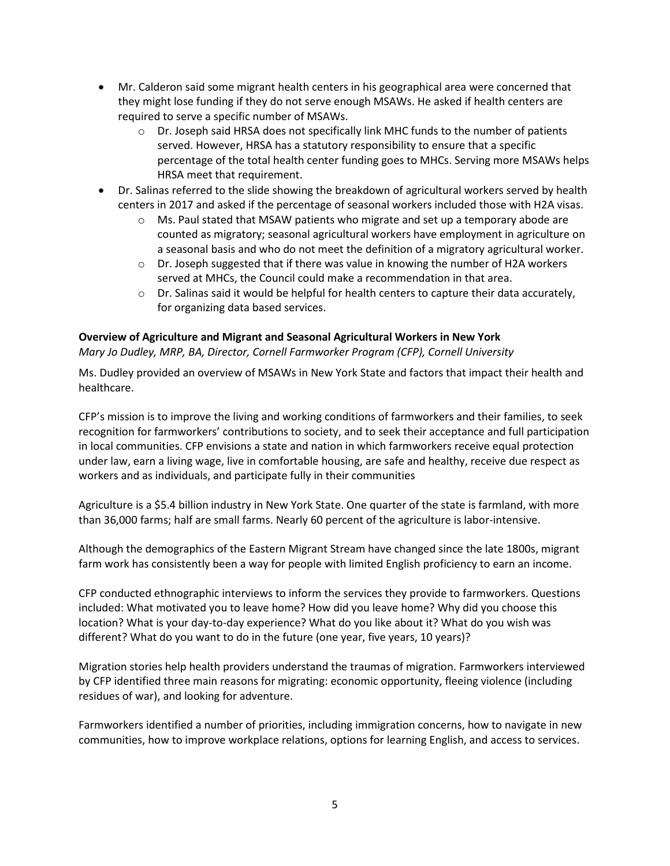- Mr. Calderon said some migrant health centers in his geographical area were concerned that they might lose funding if they do not serve enough MSAWs. He asked if health centers are required to serve a specific number of MSAWs.
	- $\circ$  Dr. Joseph said HRSA does not specifically link MHC funds to the number of patients served. However, HRSA has a statutory responsibility to ensure that a specific percentage of the total health center funding goes to MHCs. Serving more MSAWs helps HRSA meet that requirement.
- Dr. Salinas referred to the slide showing the breakdown of agricultural workers served by health centers in 2017 and asked if the percentage of seasonal workers included those with H2A visas.
	- o Ms. Paul stated that MSAW patients who migrate and set up a temporary abode are counted as migratory; seasonal agricultural workers have employment in agriculture on a seasonal basis and who do not meet the definition of a migratory agricultural worker.
	- o Dr. Joseph suggested that if there was value in knowing the number of H2A workers served at MHCs, the Council could make a recommendation in that area.
	- $\circ$  Dr. Salinas said it would be helpful for health centers to capture their data accurately, for organizing data based services.

## **Overview of Agriculture and Migrant and Seasonal Agricultural Workers in New York**

*Mary Jo Dudley, MRP, BA, Director, Cornell Farmworker Program (CFP), Cornell University*

Ms. Dudley provided an overview of MSAWs in New York State and factors that impact their health and healthcare.

CFP's mission is to improve the living and working conditions of farmworkers and their families, to seek recognition for farmworkers' contributions to society, and to seek their acceptance and full participation in local communities. CFP envisions a state and nation in which farmworkers receive equal protection under law, earn a living wage, live in comfortable housing, are safe and healthy, receive due respect as workers and as individuals, and participate fully in their communities

Agriculture is a \$5.4 billion industry in New York State. One quarter of the state is farmland, with more than 36,000 farms; half are small farms. Nearly 60 percent of the agriculture is labor-intensive.

Although the demographics of the Eastern Migrant Stream have changed since the late 1800s, migrant farm work has consistently been a way for people with limited English proficiency to earn an income.

CFP conducted ethnographic interviews to inform the services they provide to farmworkers. Questions included: What motivated you to leave home? How did you leave home? Why did you choose this location? What is your day-to-day experience? What do you like about it? What do you wish was different? What do you want to do in the future (one year, five years, 10 years)?

Migration stories help health providers understand the traumas of migration. Farmworkers interviewed by CFP identified three main reasons for migrating: economic opportunity, fleeing violence (including residues of war), and looking for adventure.

Farmworkers identified a number of priorities, including immigration concerns, how to navigate in new communities, how to improve workplace relations, options for learning English, and access to services.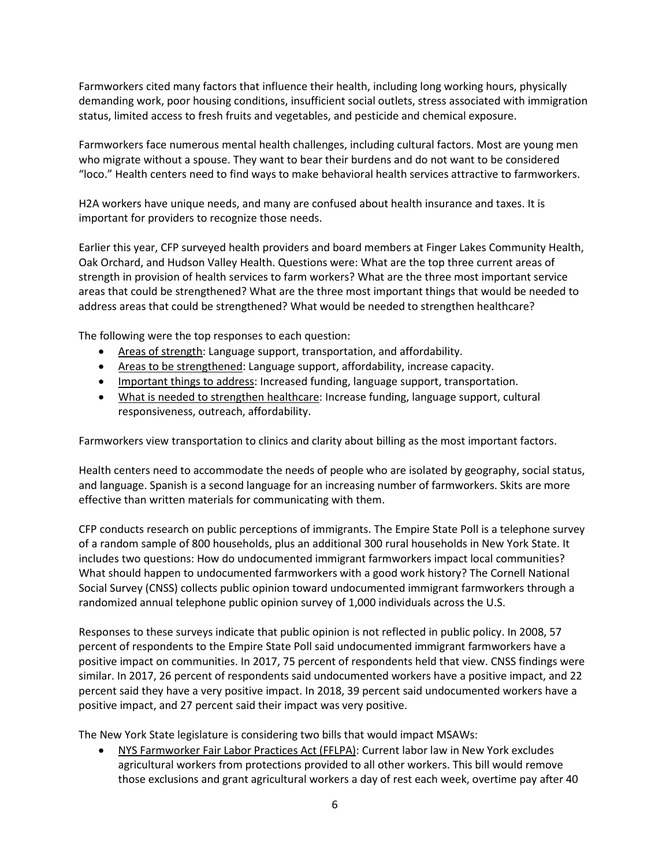Farmworkers cited many factors that influence their health, including long working hours, physically demanding work, poor housing conditions, insufficient social outlets, stress associated with immigration status, limited access to fresh fruits and vegetables, and pesticide and chemical exposure.

Farmworkers face numerous mental health challenges, including cultural factors. Most are young men who migrate without a spouse. They want to bear their burdens and do not want to be considered "loco." Health centers need to find ways to make behavioral health services attractive to farmworkers.

H2A workers have unique needs, and many are confused about health insurance and taxes. It is important for providers to recognize those needs.

Earlier this year, CFP surveyed health providers and board members at Finger Lakes Community Health, Oak Orchard, and Hudson Valley Health. Questions were: What are the top three current areas of strength in provision of health services to farm workers? What are the three most important service areas that could be strengthened? What are the three most important things that would be needed to address areas that could be strengthened? What would be needed to strengthen healthcare?

The following were the top responses to each question:

- Areas of strength: Language support, transportation, and affordability.
- Areas to be strengthened: Language support, affordability, increase capacity.
- Important things to address: Increased funding, language support, transportation.
- What is needed to strengthen healthcare: Increase funding, language support, cultural responsiveness, outreach, affordability.

Farmworkers view transportation to clinics and clarity about billing as the most important factors.

Health centers need to accommodate the needs of people who are isolated by geography, social status, and language. Spanish is a second language for an increasing number of farmworkers. Skits are more effective than written materials for communicating with them.

CFP conducts research on public perceptions of immigrants. The Empire State Poll is a telephone survey of a random sample of 800 households, plus an additional 300 rural households in New York State. It includes two questions: How do undocumented immigrant farmworkers impact local communities? What should happen to undocumented farmworkers with a good work history? The Cornell National Social Survey (CNSS) collects public opinion toward undocumented immigrant farmworkers through a randomized annual telephone public opinion survey of 1,000 individuals across the U.S.

Responses to these surveys indicate that public opinion is not reflected in public policy. In 2008, 57 percent of respondents to the Empire State Poll said undocumented immigrant farmworkers have a positive impact on communities. In 2017, 75 percent of respondents held that view. CNSS findings were similar. In 2017, 26 percent of respondents said undocumented workers have a positive impact, and 22 percent said they have a very positive impact. In 2018, 39 percent said undocumented workers have a positive impact, and 27 percent said their impact was very positive.

The New York State legislature is considering two bills that would impact MSAWs:

• NYS Farmworker Fair Labor Practices Act (FFLPA): Current labor law in New York excludes agricultural workers from protections provided to all other workers. This bill would remove those exclusions and grant agricultural workers a day of rest each week, overtime pay after 40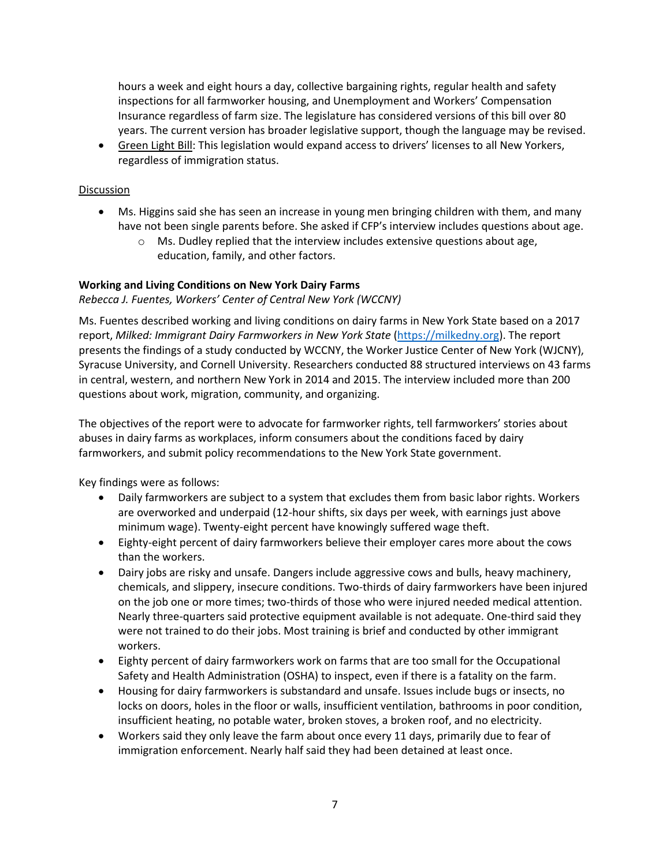hours a week and eight hours a day, collective bargaining rights, regular health and safety inspections for all farmworker housing, and Unemployment and Workers' Compensation Insurance regardless of farm size. The legislature has considered versions of this bill over 80 years. The current version has broader legislative support, though the language may be revised.

• Green Light Bill: This legislation would expand access to drivers' licenses to all New Yorkers, regardless of immigration status.

#### **Discussion**

- Ms. Higgins said she has seen an increase in young men bringing children with them, and many have not been single parents before. She asked if CFP's interview includes questions about age.
	- o Ms. Dudley replied that the interview includes extensive questions about age, education, family, and other factors.

#### **Working and Living Conditions on New York Dairy Farms**

#### *Rebecca J. Fuentes, Workers' Center of Central New York (WCCNY)*

Ms. Fuentes described working and living conditions on dairy farms in New York State based on a 2017 report, *Milked: Immigrant Dairy Farmworkers in New York State* [\(https://milkedny.org\)](https://milkedny.org/). The report presents the findings of a study conducted by WCCNY, the Worker Justice Center of New York (WJCNY), Syracuse University, and Cornell University. Researchers conducted 88 structured interviews on 43 farms in central, western, and northern New York in 2014 and 2015. The interview included more than 200 questions about work, migration, community, and organizing.

The objectives of the report were to advocate for farmworker rights, tell farmworkers' stories about abuses in dairy farms as workplaces, inform consumers about the conditions faced by dairy farmworkers, and submit policy recommendations to the New York State government.

Key findings were as follows:

- Daily farmworkers are subject to a system that excludes them from basic labor rights. Workers are overworked and underpaid (12-hour shifts, six days per week, with earnings just above minimum wage). Twenty-eight percent have knowingly suffered wage theft.
- Eighty-eight percent of dairy farmworkers believe their employer cares more about the cows than the workers.
- Dairy jobs are risky and unsafe. Dangers include aggressive cows and bulls, heavy machinery, chemicals, and slippery, insecure conditions. Two-thirds of dairy farmworkers have been injured on the job one or more times; two-thirds of those who were injured needed medical attention. Nearly three-quarters said protective equipment available is not adequate. One-third said they were not trained to do their jobs. Most training is brief and conducted by other immigrant workers.
- Eighty percent of dairy farmworkers work on farms that are too small for the Occupational Safety and Health Administration (OSHA) to inspect, even if there is a fatality on the farm.
- Housing for dairy farmworkers is substandard and unsafe. Issues include bugs or insects, no locks on doors, holes in the floor or walls, insufficient ventilation, bathrooms in poor condition, insufficient heating, no potable water, broken stoves, a broken roof, and no electricity.
- Workers said they only leave the farm about once every 11 days, primarily due to fear of immigration enforcement. Nearly half said they had been detained at least once.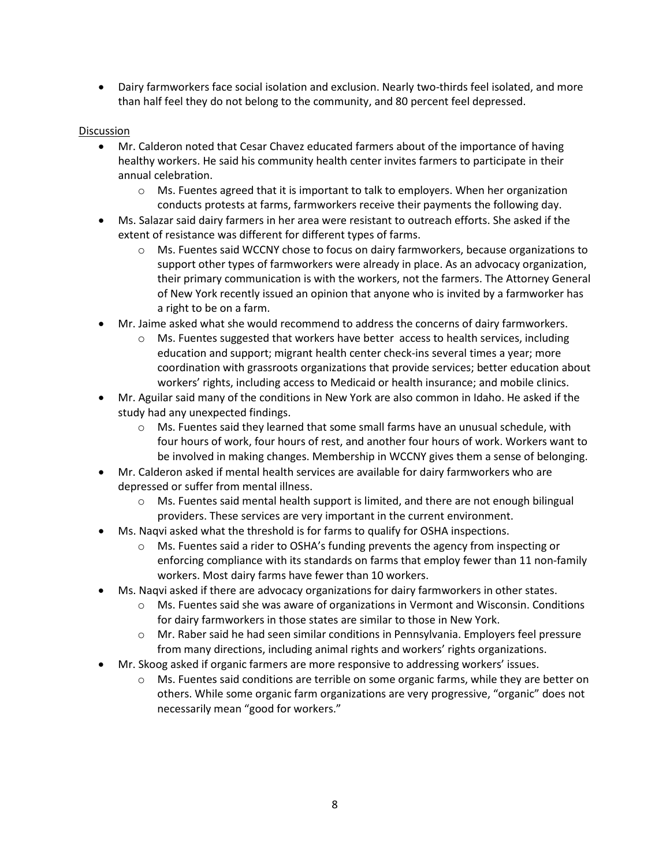• Dairy farmworkers face social isolation and exclusion. Nearly two-thirds feel isolated, and more than half feel they do not belong to the community, and 80 percent feel depressed.

## Discussion

- Mr. Calderon noted that Cesar Chavez educated farmers about of the importance of having healthy workers. He said his community health center invites farmers to participate in their annual celebration.
	- $\circ$  Ms. Fuentes agreed that it is important to talk to employers. When her organization conducts protests at farms, farmworkers receive their payments the following day.
- Ms. Salazar said dairy farmers in her area were resistant to outreach efforts. She asked if the extent of resistance was different for different types of farms.
	- $\circ$  Ms. Fuentes said WCCNY chose to focus on dairy farmworkers, because organizations to support other types of farmworkers were already in place. As an advocacy organization, their primary communication is with the workers, not the farmers. The Attorney General of New York recently issued an opinion that anyone who is invited by a farmworker has a right to be on a farm.
- Mr. Jaime asked what she would recommend to address the concerns of dairy farmworkers.
	- $\circ$  Ms. Fuentes suggested that workers have better access to health services, including education and support; migrant health center check-ins several times a year; more coordination with grassroots organizations that provide services; better education about workers' rights, including access to Medicaid or health insurance; and mobile clinics.
- Mr. Aguilar said many of the conditions in New York are also common in Idaho. He asked if the study had any unexpected findings.
	- $\circ$  Ms. Fuentes said they learned that some small farms have an unusual schedule, with four hours of work, four hours of rest, and another four hours of work. Workers want to be involved in making changes. Membership in WCCNY gives them a sense of belonging.
- Mr. Calderon asked if mental health services are available for dairy farmworkers who are depressed or suffer from mental illness.
	- o Ms. Fuentes said mental health support is limited, and there are not enough bilingual providers. These services are very important in the current environment.
- Ms. Naqvi asked what the threshold is for farms to qualify for OSHA inspections.
	- $\circ$  Ms. Fuentes said a rider to OSHA's funding prevents the agency from inspecting or enforcing compliance with its standards on farms that employ fewer than 11 non-family workers. Most dairy farms have fewer than 10 workers.
- Ms. Naqvi asked if there are advocacy organizations for dairy farmworkers in other states.
	- o Ms. Fuentes said she was aware of organizations in Vermont and Wisconsin. Conditions for dairy farmworkers in those states are similar to those in New York.
	- o Mr. Raber said he had seen similar conditions in Pennsylvania. Employers feel pressure from many directions, including animal rights and workers' rights organizations.
- Mr. Skoog asked if organic farmers are more responsive to addressing workers' issues.
	- o Ms. Fuentes said conditions are terrible on some organic farms, while they are better on others. While some organic farm organizations are very progressive, "organic" does not necessarily mean "good for workers."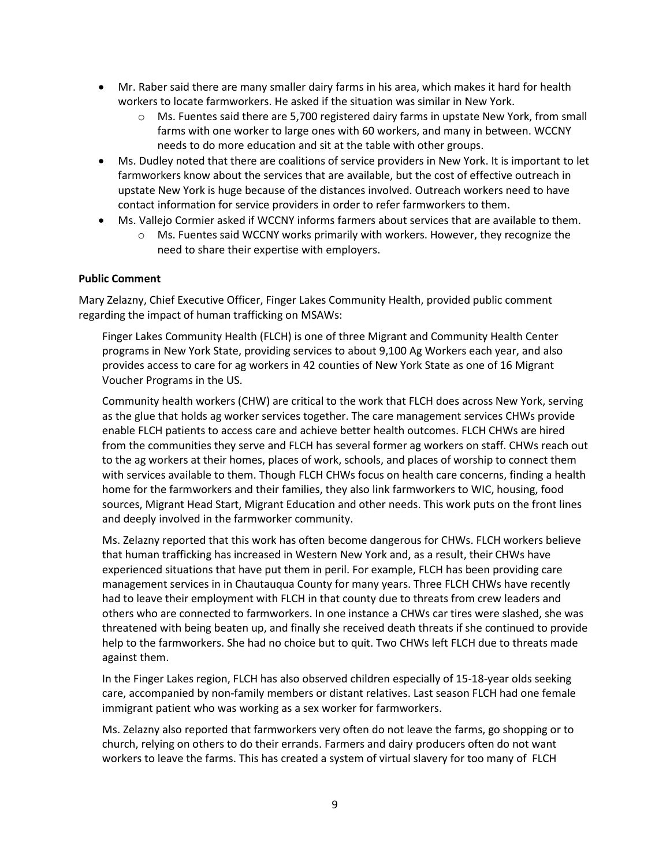- Mr. Raber said there are many smaller dairy farms in his area, which makes it hard for health workers to locate farmworkers. He asked if the situation was similar in New York.
	- $\circ$  Ms. Fuentes said there are 5,700 registered dairy farms in upstate New York, from small farms with one worker to large ones with 60 workers, and many in between. WCCNY needs to do more education and sit at the table with other groups.
- Ms. Dudley noted that there are coalitions of service providers in New York. It is important to let farmworkers know about the services that are available, but the cost of effective outreach in upstate New York is huge because of the distances involved. Outreach workers need to have contact information for service providers in order to refer farmworkers to them.
- Ms. Vallejo Cormier asked if WCCNY informs farmers about services that are available to them.
	- o Ms. Fuentes said WCCNY works primarily with workers. However, they recognize the need to share their expertise with employers.

#### **Public Comment**

Mary Zelazny, Chief Executive Officer, Finger Lakes Community Health, provided public comment regarding the impact of human trafficking on MSAWs:

Finger Lakes Community Health (FLCH) is one of three Migrant and Community Health Center programs in New York State, providing services to about 9,100 Ag Workers each year, and also provides access to care for ag workers in 42 counties of New York State as one of 16 Migrant Voucher Programs in the US.

Community health workers (CHW) are critical to the work that FLCH does across New York, serving as the glue that holds ag worker services together. The care management services CHWs provide enable FLCH patients to access care and achieve better health outcomes. FLCH CHWs are hired from the communities they serve and FLCH has several former ag workers on staff. CHWs reach out to the ag workers at their homes, places of work, schools, and places of worship to connect them with services available to them. Though FLCH CHWs focus on health care concerns, finding a health home for the farmworkers and their families, they also link farmworkers to WIC, housing, food sources, Migrant Head Start, Migrant Education and other needs. This work puts on the front lines and deeply involved in the farmworker community.

Ms. Zelazny reported that this work has often become dangerous for CHWs. FLCH workers believe that human trafficking has increased in Western New York and, as a result, their CHWs have experienced situations that have put them in peril. For example, FLCH has been providing care management services in in Chautauqua County for many years. Three FLCH CHWs have recently had to leave their employment with FLCH in that county due to threats from crew leaders and others who are connected to farmworkers. In one instance a CHWs car tires were slashed, she was threatened with being beaten up, and finally she received death threats if she continued to provide help to the farmworkers. She had no choice but to quit. Two CHWs left FLCH due to threats made against them.

In the Finger Lakes region, FLCH has also observed children especially of 15-18-year olds seeking care, accompanied by non-family members or distant relatives. Last season FLCH had one female immigrant patient who was working as a sex worker for farmworkers.

Ms. Zelazny also reported that farmworkers very often do not leave the farms, go shopping or to church, relying on others to do their errands. Farmers and dairy producers often do not want workers to leave the farms. This has created a system of virtual slavery for too many of FLCH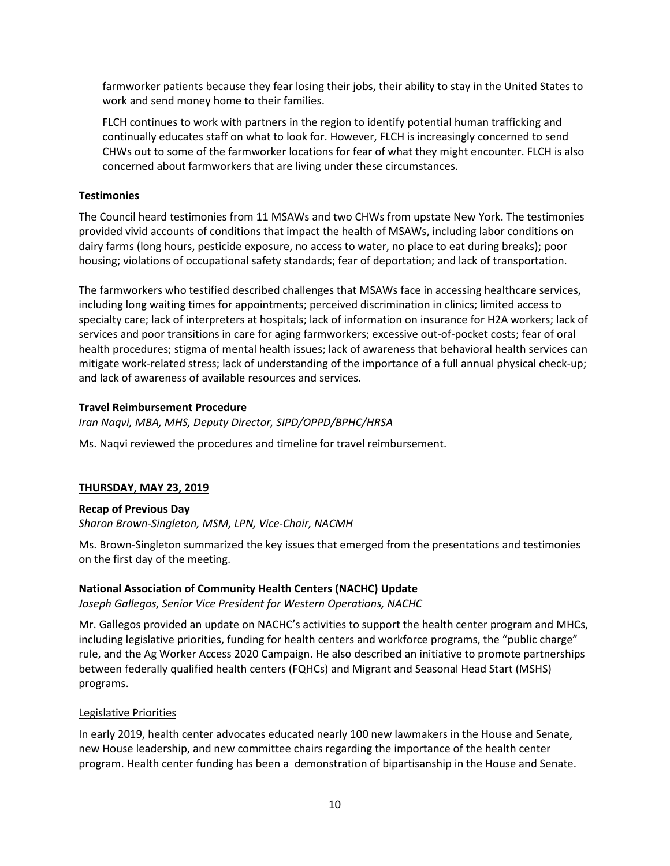farmworker patients because they fear losing their jobs, their ability to stay in the United States to work and send money home to their families.

FLCH continues to work with partners in the region to identify potential human trafficking and continually educates staff on what to look for. However, FLCH is increasingly concerned to send CHWs out to some of the farmworker locations for fear of what they might encounter. FLCH is also concerned about farmworkers that are living under these circumstances.

#### **Testimonies**

The Council heard testimonies from 11 MSAWs and two CHWs from upstate New York. The testimonies provided vivid accounts of conditions that impact the health of MSAWs, including labor conditions on dairy farms (long hours, pesticide exposure, no access to water, no place to eat during breaks); poor housing; violations of occupational safety standards; fear of deportation; and lack of transportation.

The farmworkers who testified described challenges that MSAWs face in accessing healthcare services, including long waiting times for appointments; perceived discrimination in clinics; limited access to specialty care; lack of interpreters at hospitals; lack of information on insurance for H2A workers; lack of services and poor transitions in care for aging farmworkers; excessive out-of-pocket costs; fear of oral health procedures; stigma of mental health issues; lack of awareness that behavioral health services can mitigate work-related stress; lack of understanding of the importance of a full annual physical check-up; and lack of awareness of available resources and services.

## **Travel Reimbursement Procedure**

*Iran Naqvi, MBA, MHS, Deputy Director, SIPD/OPPD/BPHC/HRSA*

Ms. Naqvi reviewed the procedures and timeline for travel reimbursement.

# **THURSDAY, MAY 23, 2019**

# **Recap of Previous Day**

*Sharon Brown-Singleton, MSM, LPN, Vice-Chair, NACMH*

Ms. Brown-Singleton summarized the key issues that emerged from the presentations and testimonies on the first day of the meeting.

# **National Association of Community Health Centers (NACHC) Update**

*Joseph Gallegos, Senior Vice President for Western Operations, NACHC*

Mr. Gallegos provided an update on NACHC's activities to support the health center program and MHCs, including legislative priorities, funding for health centers and workforce programs, the "public charge" rule, and the Ag Worker Access 2020 Campaign. He also described an initiative to promote partnerships between federally qualified health centers (FQHCs) and Migrant and Seasonal Head Start (MSHS) programs.

#### Legislative Priorities

In early 2019, health center advocates educated nearly 100 new lawmakers in the House and Senate, new House leadership, and new committee chairs regarding the importance of the health center program. Health center funding has been a demonstration of bipartisanship in the House and Senate.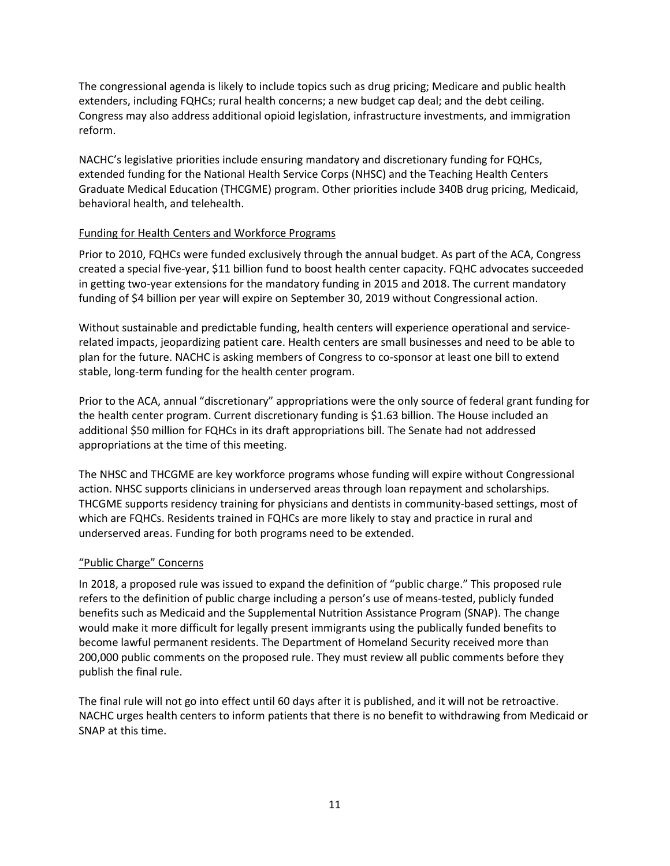The congressional agenda is likely to include topics such as drug pricing; Medicare and public health extenders, including FQHCs; rural health concerns; a new budget cap deal; and the debt ceiling. Congress may also address additional opioid legislation, infrastructure investments, and immigration reform.

NACHC's legislative priorities include ensuring mandatory and discretionary funding for FQHCs, extended funding for the National Health Service Corps (NHSC) and the Teaching Health Centers Graduate Medical Education (THCGME) program. Other priorities include 340B drug pricing, Medicaid, behavioral health, and telehealth.

#### Funding for Health Centers and Workforce Programs

Prior to 2010, FQHCs were funded exclusively through the annual budget. As part of the ACA, Congress created a special five-year, \$11 billion fund to boost health center capacity. FQHC advocates succeeded in getting two-year extensions for the mandatory funding in 2015 and 2018. The current mandatory funding of \$4 billion per year will expire on September 30, 2019 without Congressional action.

Without sustainable and predictable funding, health centers will experience operational and servicerelated impacts, jeopardizing patient care. Health centers are small businesses and need to be able to plan for the future. NACHC is asking members of Congress to co-sponsor at least one bill to extend stable, long-term funding for the health center program.

Prior to the ACA, annual "discretionary" appropriations were the only source of federal grant funding for the health center program. Current discretionary funding is \$1.63 billion. The House included an additional \$50 million for FQHCs in its draft appropriations bill. The Senate had not addressed appropriations at the time of this meeting.

The NHSC and THCGME are key workforce programs whose funding will expire without Congressional action. NHSC supports clinicians in underserved areas through loan repayment and scholarships. THCGME supports residency training for physicians and dentists in community-based settings, most of which are FQHCs. Residents trained in FQHCs are more likely to stay and practice in rural and underserved areas. Funding for both programs need to be extended.

#### "Public Charge" Concerns

In 2018, a proposed rule was issued to expand the definition of "public charge." This proposed rule refers to the definition of public charge including a person's use of means-tested, publicly funded benefits such as Medicaid and the Supplemental Nutrition Assistance Program (SNAP). The change would make it more difficult for legally present immigrants using the publically funded benefits to become lawful permanent residents. The Department of Homeland Security received more than 200,000 public comments on the proposed rule. They must review all public comments before they publish the final rule.

The final rule will not go into effect until 60 days after it is published, and it will not be retroactive. NACHC urges health centers to inform patients that there is no benefit to withdrawing from Medicaid or SNAP at this time.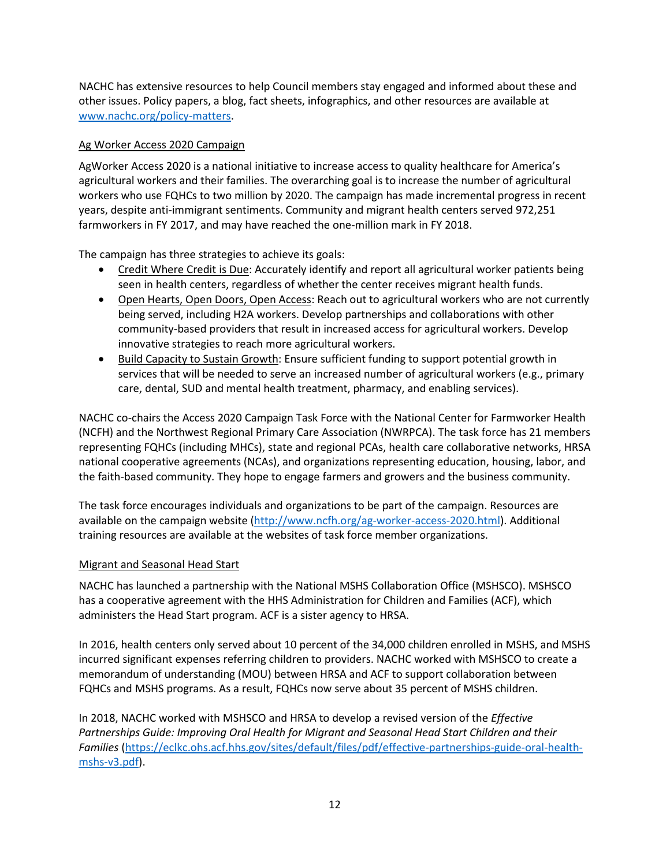NACHC has extensive resources to help Council members stay engaged and informed about these and other issues. Policy papers, a blog, fact sheets, infographics, and other resources are available at [www.nachc.org/policy-matters.](http://www.nachc.org/policy-matters)

## Ag Worker Access 2020 Campaign

AgWorker Access 2020 is a national initiative to increase access to quality healthcare for America's agricultural workers and their families. The overarching goal is to increase the number of agricultural workers who use FQHCs to two million by 2020. The campaign has made incremental progress in recent years, despite anti-immigrant sentiments. Community and migrant health centers served 972,251 farmworkers in FY 2017, and may have reached the one-million mark in FY 2018.

The campaign has three strategies to achieve its goals:

- Credit Where Credit is Due: Accurately identify and report all agricultural worker patients being seen in health centers, regardless of whether the center receives migrant health funds.
- Open Hearts, Open Doors, Open Access: Reach out to agricultural workers who are not currently being served, including H2A workers. Develop partnerships and collaborations with other community-based providers that result in increased access for agricultural workers. Develop innovative strategies to reach more agricultural workers.
- Build Capacity to Sustain Growth: Ensure sufficient funding to support potential growth in services that will be needed to serve an increased number of agricultural workers (e.g., primary care, dental, SUD and mental health treatment, pharmacy, and enabling services).

NACHC co-chairs the Access 2020 Campaign Task Force with the National Center for Farmworker Health (NCFH) and the Northwest Regional Primary Care Association (NWRPCA). The task force has 21 members representing FQHCs (including MHCs), state and regional PCAs, health care collaborative networks, HRSA national cooperative agreements (NCAs), and organizations representing education, housing, labor, and the faith-based community. They hope to engage farmers and growers and the business community.

The task force encourages individuals and organizations to be part of the campaign. Resources are available on the campaign website [\(http://www.ncfh.org/ag-worker-access-2020.html\)](http://www.ncfh.org/ag-worker-access-2020.html). Additional training resources are available at the websites of task force member organizations.

#### Migrant and Seasonal Head Start

NACHC has launched a partnership with the National MSHS Collaboration Office (MSHSCO). MSHSCO has a cooperative agreement with the HHS Administration for Children and Families (ACF), which administers the Head Start program. ACF is a sister agency to HRSA.

In 2016, health centers only served about 10 percent of the 34,000 children enrolled in MSHS, and MSHS incurred significant expenses referring children to providers. NACHC worked with MSHSCO to create a memorandum of understanding (MOU) between HRSA and ACF to support collaboration between FQHCs and MSHS programs. As a result, FQHCs now serve about 35 percent of MSHS children.

In 2018, NACHC worked with MSHSCO and HRSA to develop a revised version of the *Effective Partnerships Guide: Improving Oral Health for Migrant and Seasonal Head Start Children and their Families* [\(https://eclkc.ohs.acf.hhs.gov/sites/default/files/pdf/effective-partnerships-guide-oral-health](https://eclkc.ohs.acf.hhs.gov/sites/default/files/pdf/effective-partnerships-guide-oral-health-mshs-v3.pdf)mshs-v3.pdf).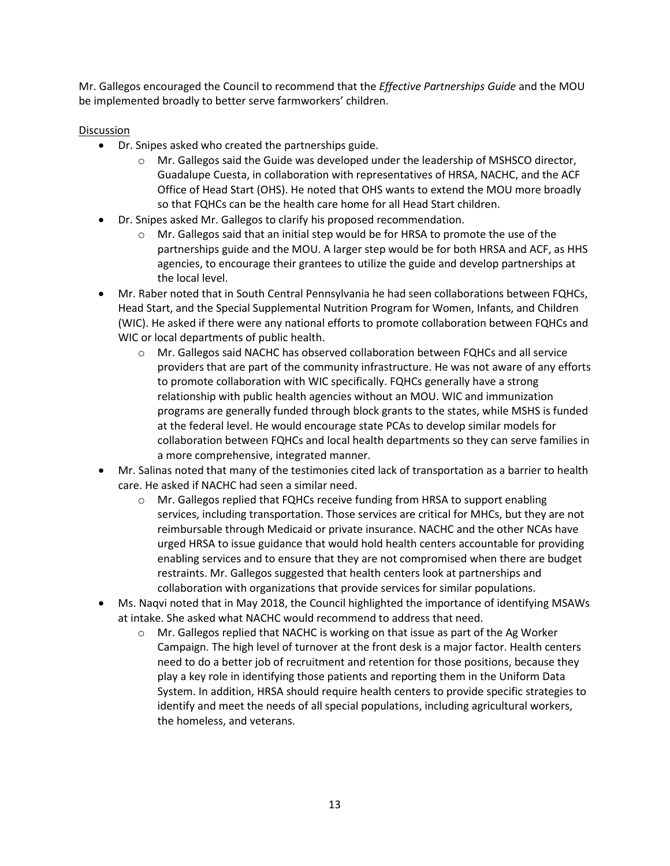Mr. Gallegos encouraged the Council to recommend that the *Effective Partnerships Guide* and the MOU be implemented broadly to better serve farmworkers' children.

## Discussion

- Dr. Snipes asked who created the partnerships guide.
	- o Mr. Gallegos said the Guide was developed under the leadership of MSHSCO director, Guadalupe Cuesta, in collaboration with representatives of HRSA, NACHC, and the ACF Office of Head Start (OHS). He noted that OHS wants to extend the MOU more broadly so that FQHCs can be the health care home for all Head Start children.
- Dr. Snipes asked Mr. Gallegos to clarify his proposed recommendation.
	- o Mr. Gallegos said that an initial step would be for HRSA to promote the use of the partnerships guide and the MOU. A larger step would be for both HRSA and ACF, as HHS agencies, to encourage their grantees to utilize the guide and develop partnerships at the local level.
- Mr. Raber noted that in South Central Pennsylvania he had seen collaborations between FQHCs, Head Start, and the Special Supplemental Nutrition Program for Women, Infants, and Children (WIC). He asked if there were any national efforts to promote collaboration between FQHCs and WIC or local departments of public health.
	- o Mr. Gallegos said NACHC has observed collaboration between FQHCs and all service providers that are part of the community infrastructure. He was not aware of any efforts to promote collaboration with WIC specifically. FQHCs generally have a strong relationship with public health agencies without an MOU. WIC and immunization programs are generally funded through block grants to the states, while MSHS is funded at the federal level. He would encourage state PCAs to develop similar models for collaboration between FQHCs and local health departments so they can serve families in a more comprehensive, integrated manner.
- Mr. Salinas noted that many of the testimonies cited lack of transportation as a barrier to health care. He asked if NACHC had seen a similar need.
	- o Mr. Gallegos replied that FQHCs receive funding from HRSA to support enabling services, including transportation. Those services are critical for MHCs, but they are not reimbursable through Medicaid or private insurance. NACHC and the other NCAs have urged HRSA to issue guidance that would hold health centers accountable for providing enabling services and to ensure that they are not compromised when there are budget restraints. Mr. Gallegos suggested that health centers look at partnerships and collaboration with organizations that provide services for similar populations.
- Ms. Naqvi noted that in May 2018, the Council highlighted the importance of identifying MSAWs at intake. She asked what NACHC would recommend to address that need.
	- $\circ$  Mr. Gallegos replied that NACHC is working on that issue as part of the Ag Worker Campaign. The high level of turnover at the front desk is a major factor. Health centers need to do a better job of recruitment and retention for those positions, because they play a key role in identifying those patients and reporting them in the Uniform Data System. In addition, HRSA should require health centers to provide specific strategies to identify and meet the needs of all special populations, including agricultural workers, the homeless, and veterans.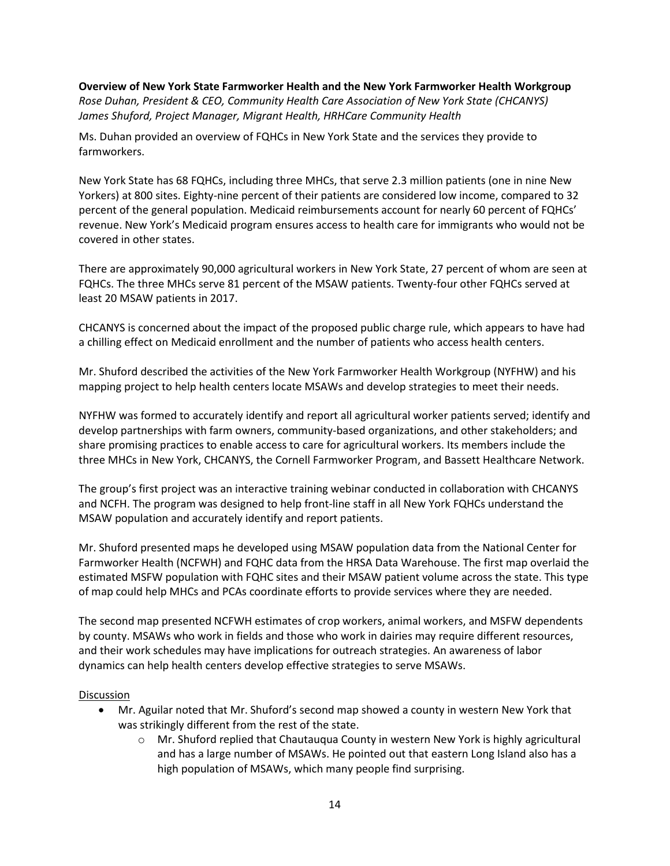**Overview of New York State Farmworker Health and the New York Farmworker Health Workgroup** *Rose Duhan, President & CEO, Community Health Care Association of New York State (CHCANYS) James Shuford, Project Manager, Migrant Health, HRHCare Community Health*

Ms. Duhan provided an overview of FQHCs in New York State and the services they provide to farmworkers.

New York State has 68 FQHCs, including three MHCs, that serve 2.3 million patients (one in nine New Yorkers) at 800 sites. Eighty-nine percent of their patients are considered low income, compared to 32 percent of the general population. Medicaid reimbursements account for nearly 60 percent of FQHCs' revenue. New York's Medicaid program ensures access to health care for immigrants who would not be covered in other states.

There are approximately 90,000 agricultural workers in New York State, 27 percent of whom are seen at FQHCs. The three MHCs serve 81 percent of the MSAW patients. Twenty-four other FQHCs served at least 20 MSAW patients in 2017.

CHCANYS is concerned about the impact of the proposed public charge rule, which appears to have had a chilling effect on Medicaid enrollment and the number of patients who access health centers.

Mr. Shuford described the activities of the New York Farmworker Health Workgroup (NYFHW) and his mapping project to help health centers locate MSAWs and develop strategies to meet their needs.

NYFHW was formed to accurately identify and report all agricultural worker patients served; identify and develop partnerships with farm owners, community-based organizations, and other stakeholders; and share promising practices to enable access to care for agricultural workers. Its members include the three MHCs in New York, CHCANYS, the Cornell Farmworker Program, and Bassett Healthcare Network.

The group's first project was an interactive training webinar conducted in collaboration with CHCANYS and NCFH. The program was designed to help front-line staff in all New York FQHCs understand the MSAW population and accurately identify and report patients.

Mr. Shuford presented maps he developed using MSAW population data from the National Center for Farmworker Health (NCFWH) and FQHC data from the HRSA Data Warehouse. The first map overlaid the estimated MSFW population with FQHC sites and their MSAW patient volume across the state. This type of map could help MHCs and PCAs coordinate efforts to provide services where they are needed.

The second map presented NCFWH estimates of crop workers, animal workers, and MSFW dependents by county. MSAWs who work in fields and those who work in dairies may require different resources, and their work schedules may have implications for outreach strategies. An awareness of labor dynamics can help health centers develop effective strategies to serve MSAWs.

#### **Discussion**

- Mr. Aguilar noted that Mr. Shuford's second map showed a county in western New York that was strikingly different from the rest of the state.
	- o Mr. Shuford replied that Chautauqua County in western New York is highly agricultural and has a large number of MSAWs. He pointed out that eastern Long Island also has a high population of MSAWs, which many people find surprising.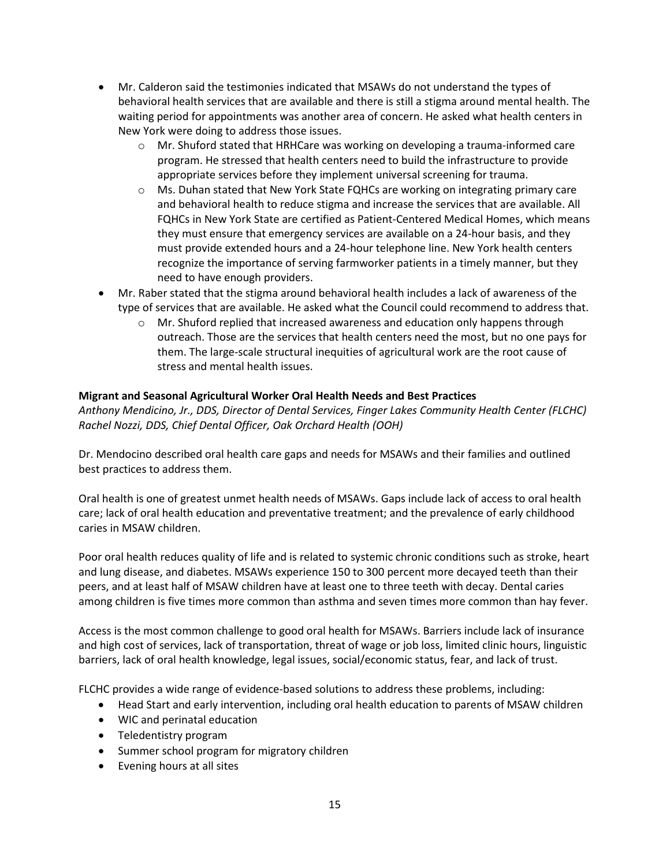- Mr. Calderon said the testimonies indicated that MSAWs do not understand the types of behavioral health services that are available and there is still a stigma around mental health. The waiting period for appointments was another area of concern. He asked what health centers in New York were doing to address those issues.
	- o Mr. Shuford stated that HRHCare was working on developing a trauma-informed care program. He stressed that health centers need to build the infrastructure to provide appropriate services before they implement universal screening for trauma.
	- o Ms. Duhan stated that New York State FQHCs are working on integrating primary care and behavioral health to reduce stigma and increase the services that are available. All FQHCs in New York State are certified as Patient-Centered Medical Homes, which means they must ensure that emergency services are available on a 24-hour basis, and they must provide extended hours and a 24-hour telephone line. New York health centers recognize the importance of serving farmworker patients in a timely manner, but they need to have enough providers.
- Mr. Raber stated that the stigma around behavioral health includes a lack of awareness of the type of services that are available. He asked what the Council could recommend to address that.
	- $\circ$  Mr. Shuford replied that increased awareness and education only happens through outreach. Those are the services that health centers need the most, but no one pays for them. The large-scale structural inequities of agricultural work are the root cause of stress and mental health issues.

# **Migrant and Seasonal Agricultural Worker Oral Health Needs and Best Practices**

*Anthony Mendicino, Jr., DDS, Director of Dental Services, Finger Lakes Community Health Center (FLCHC) Rachel Nozzi, DDS, Chief Dental Officer, Oak Orchard Health (OOH)*

Dr. Mendocino described oral health care gaps and needs for MSAWs and their families and outlined best practices to address them.

Oral health is one of greatest unmet health needs of MSAWs. Gaps include lack of access to oral health care; lack of oral health education and preventative treatment; and the prevalence of early childhood caries in MSAW children.

Poor oral health reduces quality of life and is related to systemic chronic conditions such as stroke, heart and lung disease, and diabetes. MSAWs experience 150 to 300 percent more decayed teeth than their peers, and at least half of MSAW children have at least one to three teeth with decay. Dental caries among children is five times more common than asthma and seven times more common than hay fever.

Access is the most common challenge to good oral health for MSAWs. Barriers include lack of insurance and high cost of services, lack of transportation, threat of wage or job loss, limited clinic hours, linguistic barriers, lack of oral health knowledge, legal issues, social/economic status, fear, and lack of trust.

FLCHC provides a wide range of evidence-based solutions to address these problems, including:

- Head Start and early intervention, including oral health education to parents of MSAW children
- WIC and perinatal education
- Teledentistry program
- Summer school program for migratory children
- Evening hours at all sites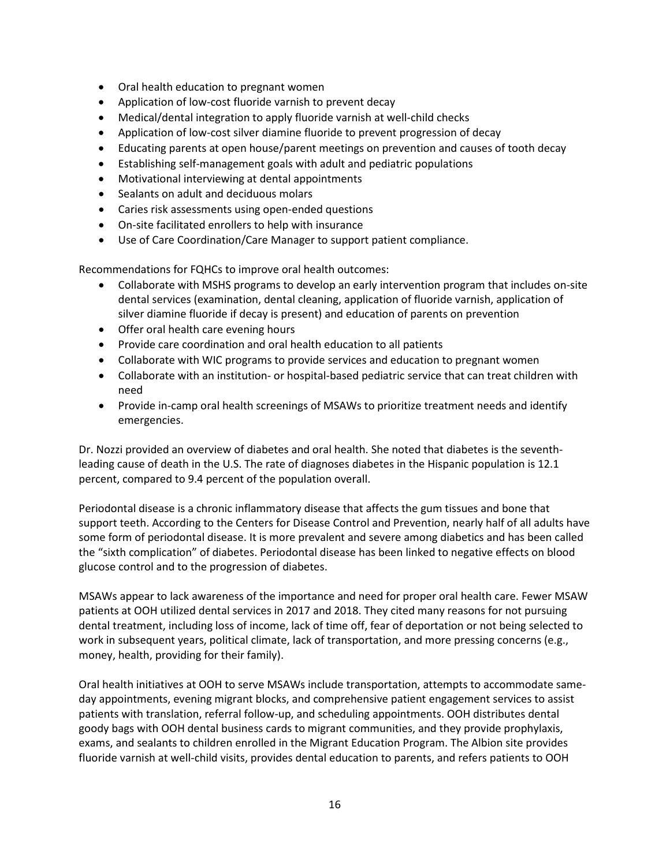- Oral health education to pregnant women
- Application of low-cost fluoride varnish to prevent decay
- Medical/dental integration to apply fluoride varnish at well-child checks
- Application of low-cost silver diamine fluoride to prevent progression of decay
- Educating parents at open house/parent meetings on prevention and causes of tooth decay
- Establishing self-management goals with adult and pediatric populations
- Motivational interviewing at dental appointments
- Sealants on adult and deciduous molars
- Caries risk assessments using open-ended questions
- On-site facilitated enrollers to help with insurance
- Use of Care Coordination/Care Manager to support patient compliance.

Recommendations for FQHCs to improve oral health outcomes:

- Collaborate with MSHS programs to develop an early intervention program that includes on-site dental services (examination, dental cleaning, application of fluoride varnish, application of silver diamine fluoride if decay is present) and education of parents on prevention
- Offer oral health care evening hours
- Provide care coordination and oral health education to all patients
- Collaborate with WIC programs to provide services and education to pregnant women
- Collaborate with an institution- or hospital-based pediatric service that can treat children with need
- Provide in-camp oral health screenings of MSAWs to prioritize treatment needs and identify emergencies.

Dr. Nozzi provided an overview of diabetes and oral health. She noted that diabetes is the seventhleading cause of death in the U.S. The rate of diagnoses diabetes in the Hispanic population is 12.1 percent, compared to 9.4 percent of the population overall.

Periodontal disease is a chronic inflammatory disease that affects the gum tissues and bone that support teeth. According to the Centers for Disease Control and Prevention, nearly half of all adults have some form of periodontal disease. It is more prevalent and severe among diabetics and has been called the "sixth complication" of diabetes. Periodontal disease has been linked to negative effects on blood glucose control and to the progression of diabetes.

MSAWs appear to lack awareness of the importance and need for proper oral health care. Fewer MSAW patients at OOH utilized dental services in 2017 and 2018. They cited many reasons for not pursuing dental treatment, including loss of income, lack of time off, fear of deportation or not being selected to work in subsequent years, political climate, lack of transportation, and more pressing concerns (e.g., money, health, providing for their family).

Oral health initiatives at OOH to serve MSAWs include transportation, attempts to accommodate sameday appointments, evening migrant blocks, and comprehensive patient engagement services to assist patients with translation, referral follow-up, and scheduling appointments. OOH distributes dental goody bags with OOH dental business cards to migrant communities, and they provide prophylaxis, exams, and sealants to children enrolled in the Migrant Education Program. The Albion site provides fluoride varnish at well-child visits, provides dental education to parents, and refers patients to OOH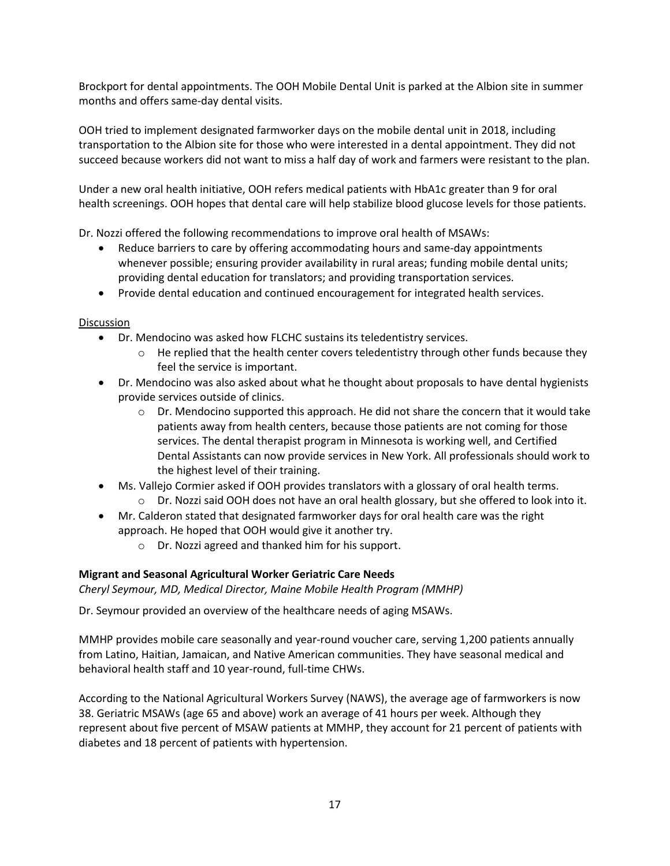Brockport for dental appointments. The OOH Mobile Dental Unit is parked at the Albion site in summer months and offers same-day dental visits.

OOH tried to implement designated farmworker days on the mobile dental unit in 2018, including transportation to the Albion site for those who were interested in a dental appointment. They did not succeed because workers did not want to miss a half day of work and farmers were resistant to the plan.

Under a new oral health initiative, OOH refers medical patients with HbA1c greater than 9 for oral health screenings. OOH hopes that dental care will help stabilize blood glucose levels for those patients.

Dr. Nozzi offered the following recommendations to improve oral health of MSAWs:

- Reduce barriers to care by offering accommodating hours and same-day appointments whenever possible; ensuring provider availability in rural areas; funding mobile dental units; providing dental education for translators; and providing transportation services.
- Provide dental education and continued encouragement for integrated health services.

## Discussion

- Dr. Mendocino was asked how FLCHC sustains its teledentistry services.
	- $\circ$  He replied that the health center covers teledentistry through other funds because they feel the service is important.
- Dr. Mendocino was also asked about what he thought about proposals to have dental hygienists provide services outside of clinics.
	- $\circ$  Dr. Mendocino supported this approach. He did not share the concern that it would take patients away from health centers, because those patients are not coming for those services. The dental therapist program in Minnesota is working well, and Certified Dental Assistants can now provide services in New York. All professionals should work to the highest level of their training.
- Ms. Vallejo Cormier asked if OOH provides translators with a glossary of oral health terms.
	- o Dr. Nozzi said OOH does not have an oral health glossary, but she offered to look into it.
- Mr. Calderon stated that designated farmworker days for oral health care was the right approach. He hoped that OOH would give it another try.
	- o Dr. Nozzi agreed and thanked him for his support.

# **Migrant and Seasonal Agricultural Worker Geriatric Care Needs**

*Cheryl Seymour, MD, Medical Director, Maine Mobile Health Program (MMHP)*

Dr. Seymour provided an overview of the healthcare needs of aging MSAWs.

MMHP provides mobile care seasonally and year-round voucher care, serving 1,200 patients annually from Latino, Haitian, Jamaican, and Native American communities. They have seasonal medical and behavioral health staff and 10 year-round, full-time CHWs.

According to the National Agricultural Workers Survey (NAWS), the average age of farmworkers is now 38. Geriatric MSAWs (age 65 and above) work an average of 41 hours per week. Although they represent about five percent of MSAW patients at MMHP, they account for 21 percent of patients with diabetes and 18 percent of patients with hypertension.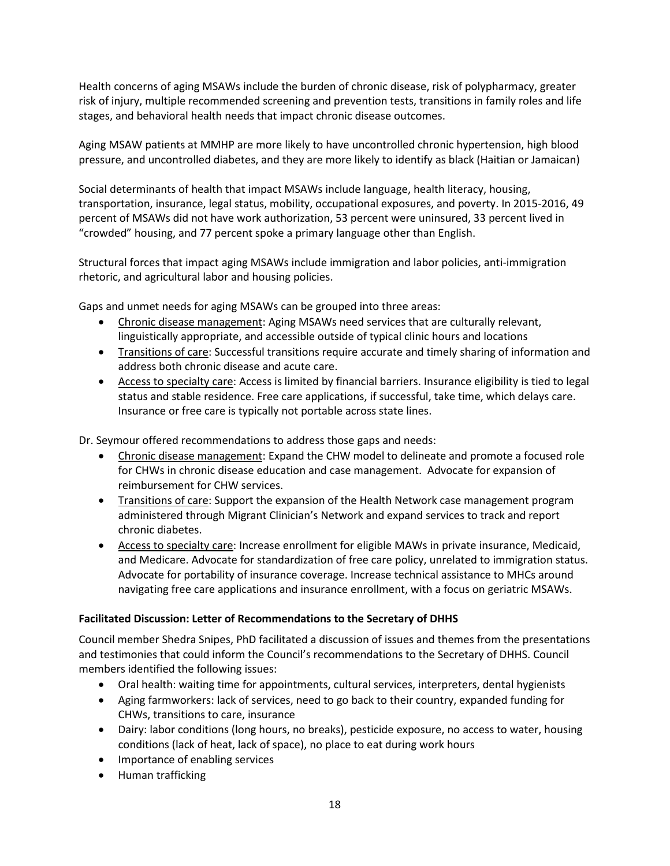Health concerns of aging MSAWs include the burden of chronic disease, risk of polypharmacy, greater risk of injury, multiple recommended screening and prevention tests, transitions in family roles and life stages, and behavioral health needs that impact chronic disease outcomes.

Aging MSAW patients at MMHP are more likely to have uncontrolled chronic hypertension, high blood pressure, and uncontrolled diabetes, and they are more likely to identify as black (Haitian or Jamaican)

Social determinants of health that impact MSAWs include language, health literacy, housing, transportation, insurance, legal status, mobility, occupational exposures, and poverty. In 2015-2016, 49 percent of MSAWs did not have work authorization, 53 percent were uninsured, 33 percent lived in "crowded" housing, and 77 percent spoke a primary language other than English.

Structural forces that impact aging MSAWs include immigration and labor policies, anti-immigration rhetoric, and agricultural labor and housing policies.

Gaps and unmet needs for aging MSAWs can be grouped into three areas:

- Chronic disease management: Aging MSAWs need services that are culturally relevant, linguistically appropriate, and accessible outside of typical clinic hours and locations
- Transitions of care: Successful transitions require accurate and timely sharing of information and address both chronic disease and acute care.
- Access to specialty care: Access is limited by financial barriers. Insurance eligibility is tied to legal status and stable residence. Free care applications, if successful, take time, which delays care. Insurance or free care is typically not portable across state lines.

Dr. Seymour offered recommendations to address those gaps and needs:

- Chronic disease management: Expand the CHW model to delineate and promote a focused role for CHWs in chronic disease education and case management. Advocate for expansion of reimbursement for CHW services.
- Transitions of care: Support the expansion of the Health Network case management program administered through Migrant Clinician's Network and expand services to track and report chronic diabetes.
- Access to specialty care: Increase enrollment for eligible MAWs in private insurance, Medicaid, and Medicare. Advocate for standardization of free care policy, unrelated to immigration status. Advocate for portability of insurance coverage. Increase technical assistance to MHCs around navigating free care applications and insurance enrollment, with a focus on geriatric MSAWs.

# **Facilitated Discussion: Letter of Recommendations to the Secretary of DHHS**

Council member Shedra Snipes, PhD facilitated a discussion of issues and themes from the presentations and testimonies that could inform the Council's recommendations to the Secretary of DHHS. Council members identified the following issues:

- Oral health: waiting time for appointments, cultural services, interpreters, dental hygienists
- Aging farmworkers: lack of services, need to go back to their country, expanded funding for CHWs, transitions to care, insurance
- Dairy: labor conditions (long hours, no breaks), pesticide exposure, no access to water, housing conditions (lack of heat, lack of space), no place to eat during work hours
- Importance of enabling services
- Human trafficking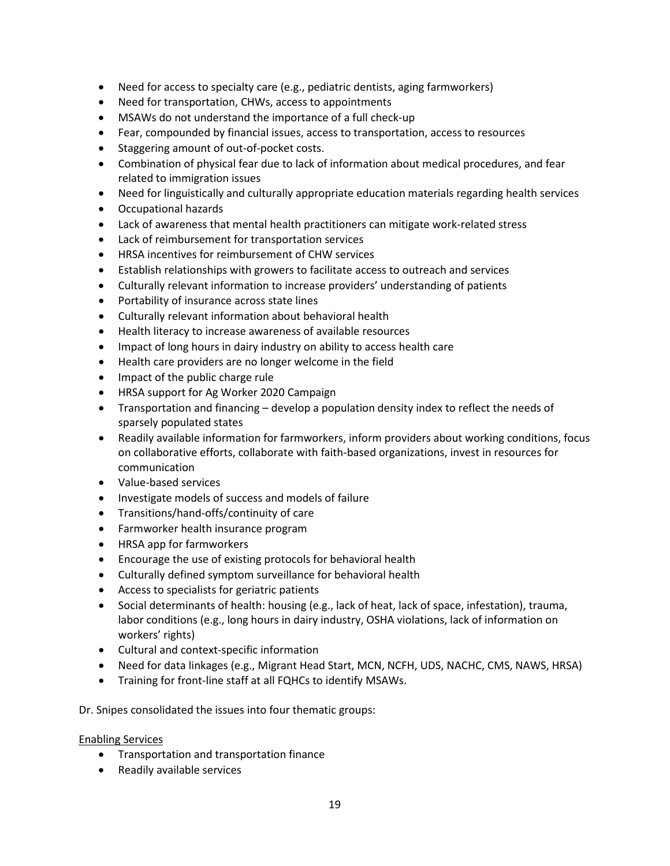- Need for access to specialty care (e.g., pediatric dentists, aging farmworkers)
- Need for transportation, CHWs, access to appointments
- MSAWs do not understand the importance of a full check-up
- Fear, compounded by financial issues, access to transportation, access to resources
- Staggering amount of out-of-pocket costs.
- Combination of physical fear due to lack of information about medical procedures, and fear related to immigration issues
- Need for linguistically and culturally appropriate education materials regarding health services
- Occupational hazards
- Lack of awareness that mental health practitioners can mitigate work-related stress
- Lack of reimbursement for transportation services
- HRSA incentives for reimbursement of CHW services
- Establish relationships with growers to facilitate access to outreach and services
- Culturally relevant information to increase providers' understanding of patients
- Portability of insurance across state lines
- Culturally relevant information about behavioral health
- Health literacy to increase awareness of available resources
- Impact of long hours in dairy industry on ability to access health care
- Health care providers are no longer welcome in the field
- Impact of the public charge rule
- HRSA support for Ag Worker 2020 Campaign
- Transportation and financing develop a population density index to reflect the needs of sparsely populated states
- Readily available information for farmworkers, inform providers about working conditions, focus on collaborative efforts, collaborate with faith-based organizations, invest in resources for communication
- Value-based services
- Investigate models of success and models of failure
- Transitions/hand-offs/continuity of care
- Farmworker health insurance program
- HRSA app for farmworkers
- Encourage the use of existing protocols for behavioral health
- Culturally defined symptom surveillance for behavioral health
- Access to specialists for geriatric patients
- Social determinants of health: housing (e.g., lack of heat, lack of space, infestation), trauma, labor conditions (e.g., long hours in dairy industry, OSHA violations, lack of information on workers' rights)
- Cultural and context-specific information
- Need for data linkages (e.g., Migrant Head Start, MCN, NCFH, UDS, NACHC, CMS, NAWS, HRSA)
- Training for front-line staff at all FQHCs to identify MSAWs.

Dr. Snipes consolidated the issues into four thematic groups:

#### Enabling Services

- Transportation and transportation finance
- Readily available services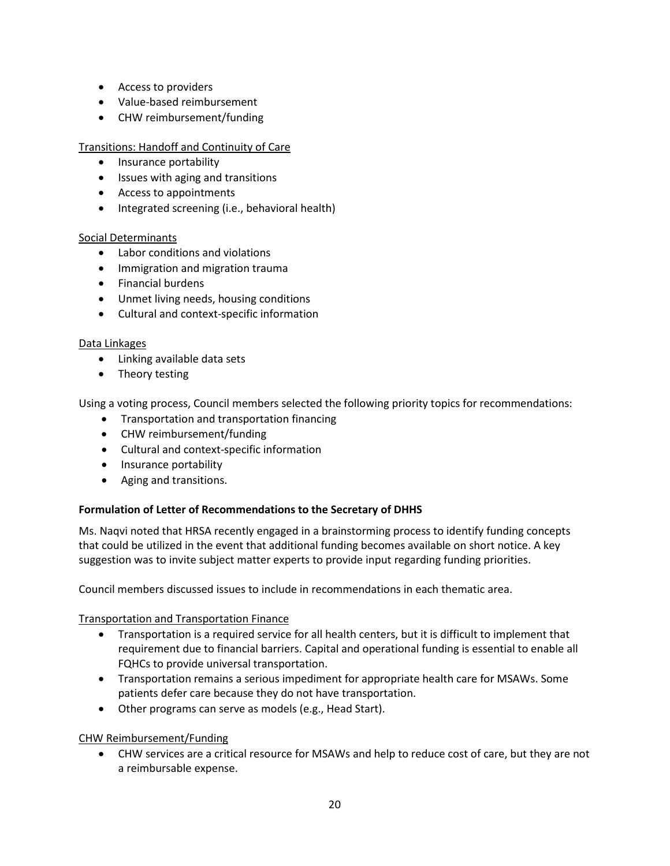- Access to providers
- Value-based reimbursement
- CHW reimbursement/funding

Transitions: Handoff and Continuity of Care

- Insurance portability
- Issues with aging and transitions
- Access to appointments
- Integrated screening (i.e., behavioral health)

# Social Determinants

- Labor conditions and violations
- Immigration and migration trauma
- Financial burdens
- Unmet living needs, housing conditions
- Cultural and context-specific information

## Data Linkages

- Linking available data sets
- Theory testing

Using a voting process, Council members selected the following priority topics for recommendations:

- Transportation and transportation financing
- CHW reimbursement/funding
- Cultural and context-specific information
- Insurance portability
- Aging and transitions.

# **Formulation of Letter of Recommendations to the Secretary of DHHS**

Ms. Naqvi noted that HRSA recently engaged in a brainstorming process to identify funding concepts that could be utilized in the event that additional funding becomes available on short notice. A key suggestion was to invite subject matter experts to provide input regarding funding priorities.

Council members discussed issues to include in recommendations in each thematic area.

Transportation and Transportation Finance

- Transportation is a required service for all health centers, but it is difficult to implement that requirement due to financial barriers. Capital and operational funding is essential to enable all FQHCs to provide universal transportation.
- Transportation remains a serious impediment for appropriate health care for MSAWs. Some patients defer care because they do not have transportation.
- Other programs can serve as models (e.g., Head Start).

# CHW Reimbursement/Funding

• CHW services are a critical resource for MSAWs and help to reduce cost of care, but they are not a reimbursable expense.